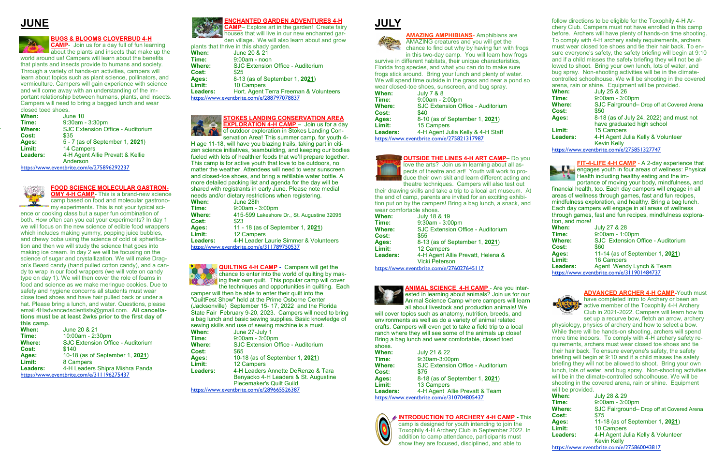follow directions to be eligible for the Toxophily 4-H Archery Club. Campers must not have enrolled in this camp before. Archers will have plenty of hands-on time shooting. To comply with 4-H archery safety requirements, archers must wear closed toe shoes and tie their hair back. To ensure everyone's safety, the safety briefing will begin at 9:10 and if a child misses the safety briefing they will not be allowed to shoot. Bring your own lunch, lots of water, and bug spray. Non-shooting activities will be in the climatecontrolled schoolhouse. We will be shooting in the covered arena, rain or shine. Equipment will be provided.

| When:    | July 25 & 26                              |
|----------|-------------------------------------------|
| Time:    | 9:00am - 3:00pm                           |
| Where:   | SJC Fairground- Drop off at Covered Arena |
| Cost:    | \$50                                      |
| Ages:    | 8-18 (as of July 24, 2022) and must not   |
|          | have graduated high school                |
| Limit:   | 15 Campers                                |
| Leaders: | 4-H Agent Julia Kelly & Volunteer         |
|          | <b>Kevin Kelly</b>                        |
|          | https://www.eventbrite.com/e/275851327747 |

**FIT-4-LIFE 4-H CAMP** - A 2-day experience that **Engages youth in four areas of wellness: Physical**  $\triangle$  Health including healthy eating and the importance of moving your body, mindfulness, and

financial health, too. Each day campers will engage in all areas of wellness through games, fast and fun recipes, mindfulness exploration, and healthy. Bring a bag lunch. Each day campers will engage in all areas of wellness through games, fast and fun recipes, mindfulness exploration, and more!

**When:** July 27 & 28 **Time:** 9:00am - 1:00pm **Where:** SJC Extension Office - Auditorium **Cost:** \$60 **Ages:** 11-14 (as of September 1, **2021**) **Limit:** 16 Campers Leaders: Agent Wendy Lynch & Team <https://www.eventbrite.com/e/311901484737>



**ADVANCED ARCHER 4-H CAMP-**Youth must have completed Intro to Archery or been an active member of the Toxophily 4-H Archery Club in 2021-2022. Campers will learn how to set up a recurve bow, fletch an arrow, archery

**OMY 4-H CAMP-** This is a brand-new science camp based on food and molecular gastronomy experiments. This is not your typical sci-

> physiology, physics of archery and how to select a bow. While there will be hands-on shooting, archers will spend more time indoors. To comply with 4-H archery safety requirements, archers must wear closed toe shoes and tie their hair back. To ensure everyone's safety, the safety briefing will begin at 9:10 and if a child misses the safety briefing they will not be allowed to shoot. Bring your own lunch, lots of water, and bug spray. Non-shooting activities will be in the climate-controlled schoolhouse. We will be shooting in the covered arena, rain or shine. Equipment will be provided.

| When:    | <b>July 28 &amp; 29</b>                   |
|----------|-------------------------------------------|
| Time:    | 9:00am - 3:00pm                           |
| Where:   | SJC Fairground- Drop off at Covered Arena |
| Cost:    | \$75                                      |
| Ages:    | 11-18 (as of September 1, 2021)           |
| Limit:   | 10 Campers                                |
| Leaders: | 4-H Agent Julia Kelly & Volunteer         |
|          | <b>Kevin Kelly</b>                        |
|          | https://www.eventbrite.com/e/275860043817 |

## **JUNE**



### **BUGS & BLOOMS CLOVERBUD 4-H**

**CAMP**- Join us for a day full of fun learning about the plants and insects that make up the world around us! Campers will learn about the benefits that plants and insects provide to humans and society. Through a variety of hands-on activities, campers will learn about topics such as plant science, pollinators, and vermiculture. Campers will gain experience with science and will come away with an understanding of the important relationship between humans, plants, and insects. Campers will need to bring a bagged lunch and wear closed toed shoes.

> **QUILTING 4-H CAMP -** Campers will get the chance to enter into the world of quilting by making their own quilt. This popular camp will cover

| When:    | June 10                                  |
|----------|------------------------------------------|
| Time:    | 9:30am - 3:30pm                          |
| Where:   | <b>SJC Extension Office - Auditorium</b> |
| Cost:    | \$35                                     |
| Ages:    | 5 - 7 (as of September 1, 2021)          |
| Limit:   | 14 Campers                               |
| Leaders: | 4-H Agent Allie Prevatt & Kellie         |
|          | Anderson                                 |

<https://www.eventbrite.com/e/275896292237>



### **FOOD SCIENCE MOLECULAR GASTRON-**

ence or cooking class but a super fun combination of both. How often can you eat your experiments? In day 1 we will focus on the new science of edible food wrappers which includes making yummy, popping juice bubbles, and chewy boba using the science of cold oil spherification and then we will study the science that goes into making ice cream. In day 2 we will be focusing on the science of sugar and crystallization. We will make Dragon's Beard candy (hand pulled cotton candy), and a candy to wrap in our food wrappers (we will vote on candy type on day 1). We will then cover the role of foams in food and science as we make meringue cookies. Due to safety and hygiene concerns all students must wear close toed shoes and have hair pulled back or under a hat. Please bring a lunch, and water. Questions, please email 4Hadvancedscientists@gmail.com. **All cancellations must be at least 2wks prior to the first day of this camp.** 

will cover topics such as anatomy, nutrition, breeds, and environments as well as do a variety of animal related crafts. Campers will even get to take a field trip to a local ranch where they will see some of the animals up close! Bring a bag lunch and wear comfortable, closed toed shoes.

| When:         | June 20 & 21                              |
|---------------|-------------------------------------------|
| Time:         | 10:00am - 2:30pm                          |
| <b>Where:</b> | <b>SJC Extension Office - Auditorium</b>  |
| Cost:         | \$140                                     |
| Ages:         | 10-18 (as of September 1, 2021)           |
| Limit:        | 8 Campers                                 |
| Leaders:      | 4-H Leaders Shipra Mishra Panda           |
|               | https://www.eventbrite.com/e/311196275437 |



### **ENCHANTED GARDEN ADVENTURES 4-H**



den village. We will also learn about and grow

|                 | plants that thrive in this shady garden.  |
|-----------------|-------------------------------------------|
| When:           | June 20 & 21                              |
| Time:           | $9:00am - noon$                           |
| Where:          | SJC Extension Office - Auditorium         |
| Cost:           | \$25                                      |
| Ages:           | 8-13 (as of September 1, 2021)            |
| Limit:          | 10 Campers                                |
| <b>Leaders:</b> | Hort. Agent Terra Freeman & Volunteers    |
|                 | https://www.eventbrite.com/e/288797078837 |

#### **STOKES LANDING CONSERVATION AREA EXPLORATION 4-H CAMP** – Join us for a day

of outdoor exploration in Stokes Landing Con-

servation Area! This summer camp, for youth 4- H age 11-18, will have you blazing trails, taking part in citizen science initiatives, teambuilding, and keeping our bodies fueled with lots of healthier foods that we'll prepare together. This camp is for active youth that love to be outdoors, no matter the weather. Attendees will need to wear sunscreen and closed-toe shoes, and bring a refillable water bottle. A more detailed packing list and agenda for the day will be shared with registrants in early June. Please note medial needs and/or dietary restrictions when registering.

| When:           | June 28th                                         |
|-----------------|---------------------------------------------------|
| Time:           | $9:00am - 3:00pm$                                 |
| Where:          | 415-599 Lakeshore Dr., St. Augustine 32095        |
| Cost:           | \$23                                              |
| Ages:           | 11 - 18 (as of September 1, 2021)                 |
| Limit:          | 12 Campers                                        |
| <b>Leaders:</b> | 4-H Leader Laurie Simmer & Volunteers             |
|                 | <u> https://www.eventbrite.com/e/311789750537</u> |

the techniques and opportunities in quilting. Each camper will then be able to enter their quilt into the "QuiltFest Show" held at the Prime Osborne Center (Jacksonville) September 15- 17, 2022 and the Florida State Fair February 9-20, 2023. Campers will need to bring a bag lunch and basic sewing supplies. Basic knowledge of sewing skills and use of sewing machine is a must.

| When:         | June 27-July 1                            |
|---------------|-------------------------------------------|
| Time:         | 9:00am - 3:00pm                           |
| <b>Where:</b> | SJC Extension Office - Auditorium         |
| Cost:         | \$65                                      |
| Ages:         | 10-18 (as of September 1, 2021)           |
| Limit:        | 12 Campers                                |
| Leaders:      | 4-H Leaders Annette DeRenzo & Tara        |
|               | Benyacko 4-H Leaders & St. Augustine      |
|               | <b>Piecemaker's Quilt Guild</b>           |
|               | https://www.eventbrite.com/e/289665526387 |



### **AMAZING AMPHIBIANS**- Amphibians are

AMAZING creatures and you will get the chance to find out why by having fun with frogs in this two-day camp. You will learn how frogs

survive in different habitats, their unique characteristics, Florida frog species, and what you can do to make sure frogs stick around. Bring your lunch and plenty of water. We will spend time outside in the grass and near a pond so wear closed-toe shoes, sunscreen, and bug spray.

| When:         | <b>July 7 &amp; 8</b>                     |
|---------------|-------------------------------------------|
| Time:         | $9:00am - 2:00pm$                         |
| <b>Where:</b> | <b>SJC Extension Office - Auditorium</b>  |
| Cost:         | \$40                                      |
| Ages:         | 8-10 (as of September 1, 2021)            |
| Limit:        | 15 Campers                                |
| Leaders:      | 4-H Agent Julia Kelly & 4-H Staff         |
|               | https://www.eventbrite.com/e/275821317987 |

**OUTSIDE THE LINES 4-H ART CAMP–** Do you love the arts? Join us in learning about all aspects of theatre and art! Youth will work to pro-

duce their own skit and learn different acting and theatre techniques. Campers will also test out

their drawing skills and take a trip to a local art museum. At the end of camp, parents are invited for an exciting exhibition put on by the campers! Bring a bag lunch, a snack, and wear comfortable shoes.

| When:    | July 18 & 19                              |
|----------|-------------------------------------------|
| Time:    | 9:30am - 3:00pm                           |
| Where:   | SJC Extension Office - Auditorium         |
| Cost:    | \$55                                      |
| Ages:    | 8-13 (as of September 1, 2021)            |
| Limit:   | 12 Campers                                |
| Leaders: | 4-H Agent Allie Prevatt, Helena &         |
|          | <b>Vicki Peterson</b>                     |
|          | https://www.eventbrite.com/e/276027645117 |



**ANIMAL SCIENCE 4-H CAMP** - Are you interested in learning about animals? Join us for our Animal Science Camp where campers will learn all about livestock and production animals! We

| When:           | July 21 & 22                              |
|-----------------|-------------------------------------------|
| Time:           | 9:30am-3:00pm                             |
| Where:          | <b>SJC Extension Office - Auditorium</b>  |
| Cost:           | \$75                                      |
| Ages:           | 8-18 (as of September 1, 2021)            |
| Limit:          | 13 Campers                                |
| <b>Leaders:</b> | 4-H Agent Allie Prevatt & Team            |
|                 | https://www.eventbrite.com/e/310704805437 |
|                 |                                           |



### **INTRODUCTION TO ARCHERY 4-H CAMP - T**his

camp is designed for youth intending to join the Toxophily 4-H Archery Club in September 2022. In addition to camp attendance, participants must show they are focused, disciplined, and able to